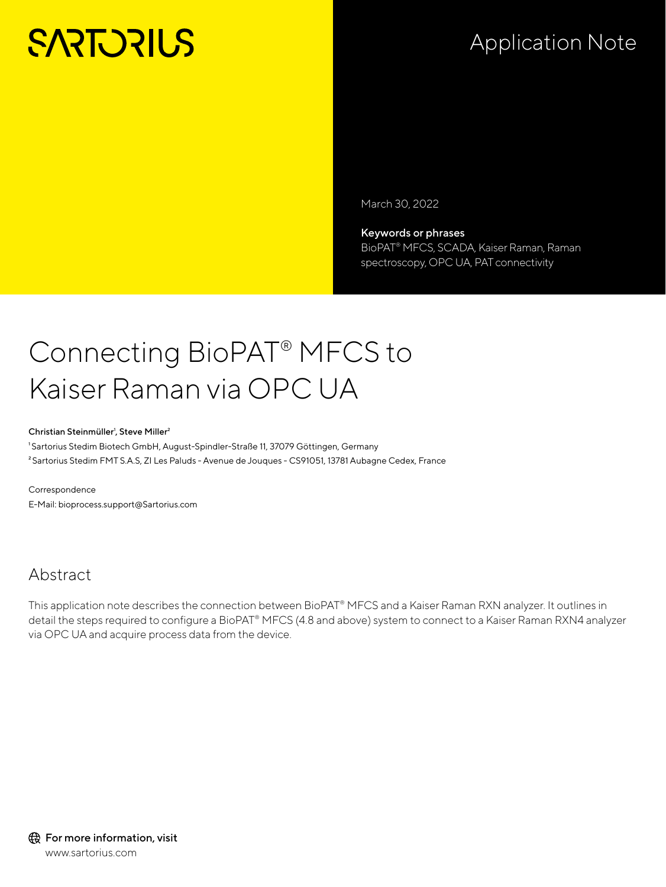# **SARTORIUS**

# Application Note

March 30, 2022

Keywords or phrases BioPAT® MFCS, SCADA, Kaiser Raman, Raman spectroscopy, OPC UA, PAT connectivity

# Connecting BioPAT® MFCS to Kaiser Raman via OPC UA

#### Christian Steinmüller<sup>1</sup>, Steve Miller<sup>2</sup>

<sup>1</sup>Sartorius Stedim Biotech GmbH, August-Spindler-Straße 11, 37079 Göttingen, Germany ²Sartorius Stedim FMT S.A.S, ZI Les Paluds - Avenue de Jouques - CS91051, 13781 Aubagne Cedex, France

Correspondence E-Mail: bioprocess.support@Sartorius.com

# Abstract

This application note describes the connection between BioPAT® MFCS and a Kaiser Raman RXN analyzer. It outlines in detail the steps required to configure a BioPAT® MFCS (4.8 and above) system to connect to a Kaiser Raman RXN4 analyzer via OPC UA and acquire process data from the device.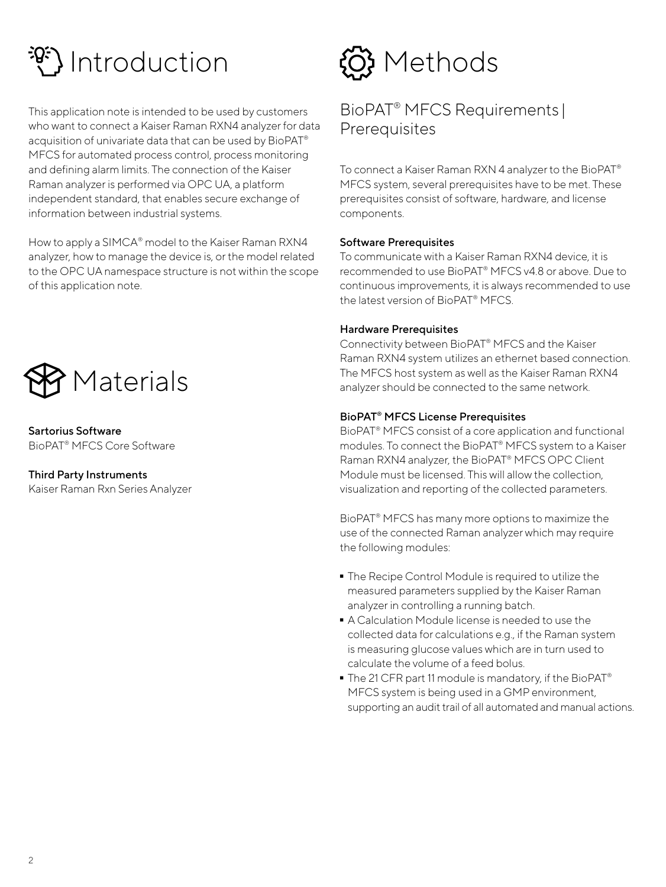# Introduction

This application note is intended to be used by customers who want to connect a Kaiser Raman RXN4 analyzer for data acquisition of univariate data that can be used by BioPAT<sup>®</sup> MFCS for automated process control, process monitoring and defining alarm limits. The connection of the Kaiser Raman analyzer is performed via OPC UA, a platform independent standard, that enables secure exchange of information between industrial systems.

How to apply a SIMCA® model to the Kaiser Raman RXN4 analyzer, how to manage the device is, or the model related to the OPC UA namespace structure is not within the scope of this application note.



Sartorius Software BioPAT® MFCS Core Software

Third Party Instruments Kaiser Raman Rxn Series Analyzer

# <u>හි</u> Methods

# BioPAT® MFCS Requirements | **Prerequisites**

To connect a Kaiser Raman RXN 4 analyzer to the BioPAT® MFCS system, several prerequisites have to be met. These prerequisites consist of software, hardware, and license components.

### Software Prerequisites

To communicate with a Kaiser Raman RXN4 device, it is recommended to use BioPAT® MFCS v4.8 or above. Due to continuous improvements, it is always recommended to use the latest version of BioPAT® MFCS.

### Hardware Prerequisites

Connectivity between BioPAT® MFCS and the Kaiser Raman RXN4 system utilizes an ethernet based connection. The MFCS host system as well as the Kaiser Raman RXN4 analyzer should be connected to the same network.

## BioPAT® MFCS License Prerequisites

BioPAT® MFCS consist of a core application and functional modules. To connect the BioPAT® MFCS system to a Kaiser Raman RXN4 analyzer, the BioPAT® MFCS OPC Client Module must be licensed. This will allow the collection, visualization and reporting of the collected parameters.

BioPAT® MFCS has many more options to maximize the use of the connected Raman analyzer which may require the following modules:

- The Recipe Control Module is required to utilize the measured parameters supplied by the Kaiser Raman analyzer in controlling a running batch.
- A Calculation Module license is needed to use the collected data for calculations e.g., if the Raman system is measuring glucose values which are in turn used to calculate the volume of a feed bolus.
- The 21 CFR part 11 module is mandatory, if the BioPAT® MFCS system is being used in a GMP environment, supporting an audit trail of all automated and manual actions.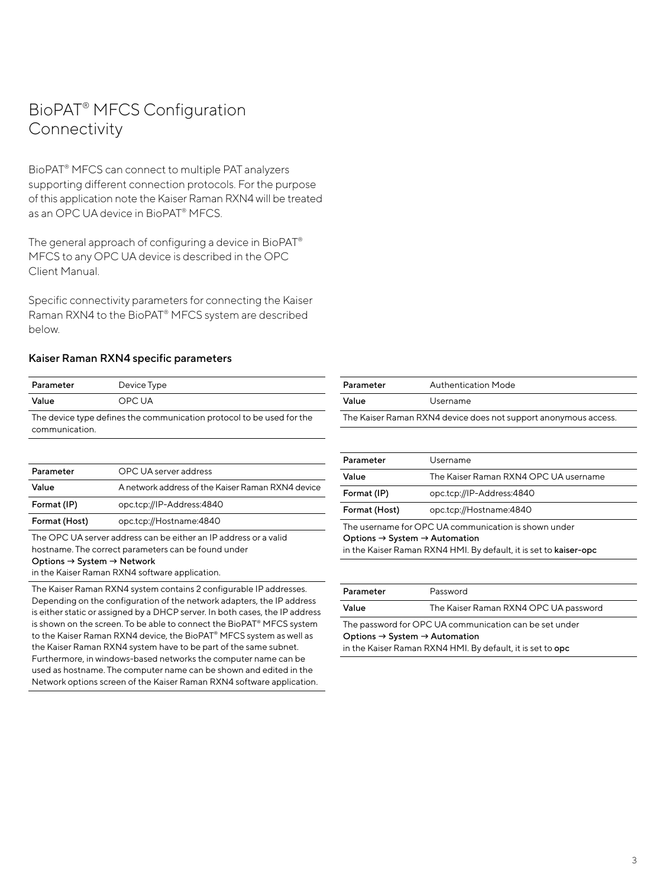# BioPAT® MFCS Configuration **Connectivity**

BioPAT® MFCS can connect to multiple PAT analyzers supporting different connection protocols. For the purpose of this application note the Kaiser Raman RXN4 will be treated as an OPC UA device in BioPAT® MFCS.

The general approach of configuring a device in BioPAT® MFCS to any OPC UA device is described in the OPC Client Manual.

Specific connectivity parameters for connecting the Kaiser Raman RXN4 to the BioPAT® MFCS system are described below.

#### Kaiser Raman RXN4 specific parameters

| Parameter                                                             | Device Type |  |
|-----------------------------------------------------------------------|-------------|--|
| Value                                                                 | OPC UA      |  |
| The device type defines the communication protocol to be used for the |             |  |

communication.

| Parameter     | OPC UA server address                             |
|---------------|---------------------------------------------------|
| Value         | A network address of the Kaiser Raman RXN4 device |
| Format (IP)   | opc.tcp://IP-Address:4840                         |
| Format (Host) | opc.tcp://Hostname:4840                           |

The OPC UA server address can be either an IP address or a valid hostname. The correct parameters can be found under Options → System → Network

in the Kaiser Raman RXN4 software application.

The Kaiser Raman RXN4 system contains 2 configurable IP addresses. Depending on the configuration of the network adapters, the IP address is either static or assigned by a DHCP server. In both cases, the IP address is shown on the screen. To be able to connect the BioPAT® MFCS system to the Kaiser Raman RXN4 device, the BioPAT® MFCS system as well as the Kaiser Raman RXN4 system have to be part of the same subnet. Furthermore, in windows-based networks the computer name can be used as hostname. The computer name can be shown and edited in the Network options screen of the Kaiser Raman RXN4 software application.

| Parameter                                                       | Authentication Mode |  |
|-----------------------------------------------------------------|---------------------|--|
| Value                                                           | Username            |  |
| The Kaiser Raman RXN4 device does not support anonymous access. |                     |  |

| Parameter                                                                                                                                                                          | Username                              |  |
|------------------------------------------------------------------------------------------------------------------------------------------------------------------------------------|---------------------------------------|--|
| Value                                                                                                                                                                              | The Kaiser Raman RXN4 OPC UA username |  |
| Format (IP)                                                                                                                                                                        | opc.tcp://IP-Address:4840             |  |
| Format (Host)                                                                                                                                                                      | opc.tcp://Hostname:4840               |  |
| The username for OPC UA communication is shown under<br>Options $\rightarrow$ System $\rightarrow$ Automation<br>in the Kaiser Raman RXN4 HMI. By default, it is set to kaiser-opc |                                       |  |

| Parameter                                                  | Password                              |  |
|------------------------------------------------------------|---------------------------------------|--|
| Value                                                      | The Kaiser Raman RXN4 OPC UA password |  |
| The password for OPC UA communication can be set under     |                                       |  |
| Options $\rightarrow$ System $\rightarrow$ Automation      |                                       |  |
| in the Kaiser Raman RXN4 HMI. By default, it is set to opc |                                       |  |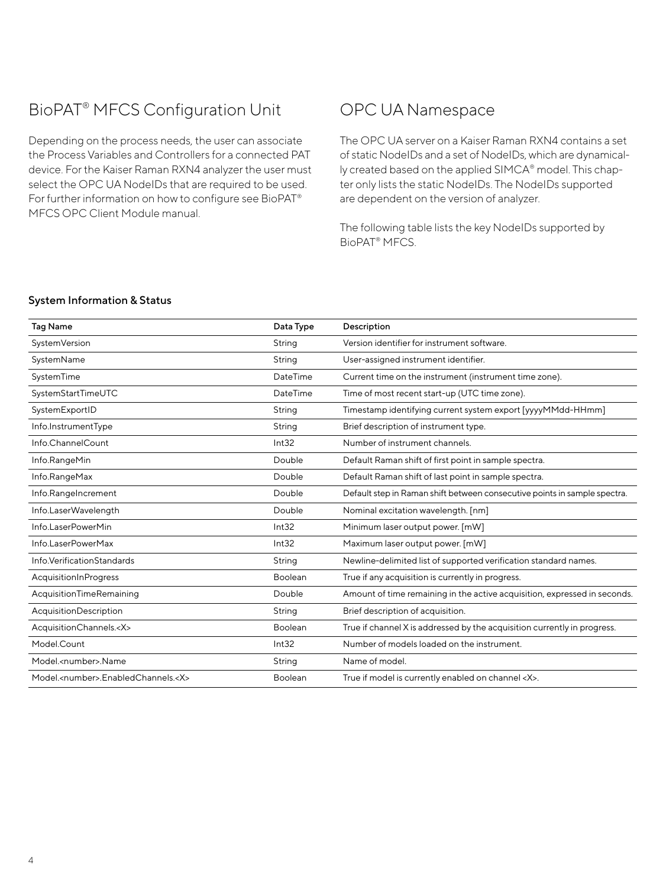# BioPAT® MFCS Configuration Unit

Depending on the process needs, the user can associate the Process Variables and Controllers for a connected PAT device. For the Kaiser Raman RXN4 analyzer the user must select the OPC UA NodeIDs that are required to be used. For further information on how to configure see BioPAT® MFCS OPC Client Module manual.

# OPC UA Namespace

The OPC UA server on a Kaiser Raman RXN4 contains a set of static NodeIDs and a set of NodeIDs, which are dynamically created based on the applied SIMCA® model. This chapter only lists the static NodeIDs. The NodeIDs supported are dependent on the version of analyzer.

The following table lists the key NodeIDs supported by BioPAT® MFCS.

#### System Information & Status

| <b>Tag Name</b>                                  | Data Type      | Description                                                               |
|--------------------------------------------------|----------------|---------------------------------------------------------------------------|
| SystemVersion                                    | String         | Version identifier for instrument software.                               |
| SystemName                                       | String         | User-assigned instrument identifier.                                      |
| SystemTime                                       | DateTime       | Current time on the instrument (instrument time zone).                    |
| SystemStartTimeUTC                               | DateTime       | Time of most recent start-up (UTC time zone).                             |
| SystemExportID                                   | String         | Timestamp identifying current system export [yyyyMMdd-HHmm]               |
| Info.InstrumentType                              | String         | Brief description of instrument type.                                     |
| Info.ChannelCount                                | Int32          | Number of instrument channels.                                            |
| Info.RangeMin                                    | Double         | Default Raman shift of first point in sample spectra.                     |
| Info.RangeMax                                    | Double         | Default Raman shift of last point in sample spectra.                      |
| Info.RangeIncrement                              | Double         | Default step in Raman shift between consecutive points in sample spectra. |
| Info.LaserWavelength                             | Double         | Nominal excitation wavelength. [nm]                                       |
| Info.LaserPowerMin                               | Int32          | Minimum laser output power. [mW]                                          |
| Info.LaserPowerMax                               | Int32          | Maximum laser output power. [mW]                                          |
| Info. Verification Standards                     | String         | Newline-delimited list of supported verification standard names.          |
| AcquisitionInProgress                            | Boolean        | True if any acquisition is currently in progress.                         |
| AcquisitionTimeRemaining                         | Double         | Amount of time remaining in the active acquisition, expressed in seconds. |
| <b>AcquisitionDescription</b>                    | String         | Brief description of acquisition.                                         |
| AcquisitionChannels. <x></x>                     | <b>Boolean</b> | True if channel X is addressed by the acquisition currently in progress.  |
| Model.Count                                      | Int32          | Number of models loaded on the instrument.                                |
| Model. <number>.Name</number>                    | String         | Name of model.                                                            |
| Model. <number>.EnabledChannels.<x></x></number> | Boolean        | True if model is currently enabled on channel <x>.</x>                    |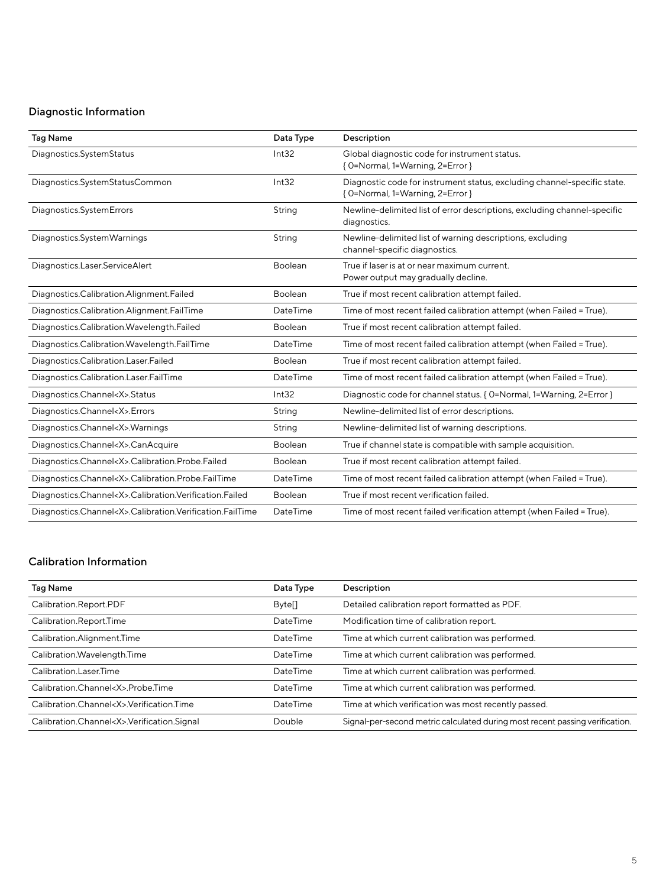# Diagnostic Information

| <b>Tag Name</b>                                               | Data Type      | Description                                                                                                  |
|---------------------------------------------------------------|----------------|--------------------------------------------------------------------------------------------------------------|
| Diagnostics.SystemStatus                                      | Int32          | Global diagnostic code for instrument status.<br>{ O=Normal, 1=Warning, 2=Error }                            |
| Diagnostics.SystemStatusCommon                                | Int32          | Diagnostic code for instrument status, excluding channel-specific state.<br>{ O=Normal, 1=Warning, 2=Error } |
| Diagnostics.SystemErrors                                      | String         | Newline-delimited list of error descriptions, excluding channel-specific<br>diagnostics.                     |
| Diagnostics.SystemWarnings                                    | String         | Newline-delimited list of warning descriptions, excluding<br>channel-specific diagnostics.                   |
| Diagnostics.Laser.ServiceAlert                                | Boolean        | True if laser is at or near maximum current.<br>Power output may gradually decline.                          |
| Diagnostics.Calibration.Alignment.Failed                      | Boolean        | True if most recent calibration attempt failed.                                                              |
| Diagnostics.Calibration.Alignment.FailTime                    | DateTime       | Time of most recent failed calibration attempt (when Failed = True).                                         |
| Diagnostics.Calibration.Wavelength.Failed                     | <b>Boolean</b> | True if most recent calibration attempt failed.                                                              |
| Diagnostics.Calibration.Wavelength.FailTime                   | DateTime       | Time of most recent failed calibration attempt (when Failed = True).                                         |
| Diagnostics.Calibration.Laser.Failed                          | Boolean        | True if most recent calibration attempt failed.                                                              |
| Diagnostics.Calibration.Laser.FailTime                        | DateTime       | Time of most recent failed calibration attempt (when Failed = True).                                         |
| Diagnostics.Channel <x>.Status</x>                            | Int32          | Diagnostic code for channel status. { O=Normal, 1=Warning, 2=Error }                                         |
| Diagnostics.Channel <x>.Errors</x>                            | String         | Newline-delimited list of error descriptions.                                                                |
| Diagnostics.Channel <x>.Warnings</x>                          | String         | Newline-delimited list of warning descriptions.                                                              |
| Diagnostics.Channel <x>.CanAcquire</x>                        | Boolean        | True if channel state is compatible with sample acquisition.                                                 |
| Diagnostics.Channel <x>.Calibration.Probe.Failed</x>          | Boolean        | True if most recent calibration attempt failed.                                                              |
| Diagnostics.Channel <x>.Calibration.Probe.FailTime</x>        | DateTime       | Time of most recent failed calibration attempt (when Failed = True).                                         |
| Diagnostics.Channel <x>.Calibration.Verification.Failed</x>   | Boolean        | True if most recent verification failed.                                                                     |
| Diagnostics.Channel <x>.Calibration.Verification.FailTime</x> | DateTime       | Time of most recent failed verification attempt (when Failed = True).                                        |

# Calibration Information

| <b>Tag Name</b>                                 | Data Type          | Description                                                                  |
|-------------------------------------------------|--------------------|------------------------------------------------------------------------------|
| Calibration.Report.PDF                          | Byte <sup>[]</sup> | Detailed calibration report formatted as PDF.                                |
| Calibration.Report.Time                         | DateTime           | Modification time of calibration report.                                     |
| Calibration.Alignment.Time                      | DateTime           | Time at which current calibration was performed.                             |
| Calibration. Wavelength. Time                   | DateTime           | Time at which current calibration was performed.                             |
| Calibration.Laser.Time                          | DateTime           | Time at which current calibration was performed.                             |
| Calibration.Channel <x>.Probe.Time</x>          | DateTime           | Time at which current calibration was performed.                             |
| Calibration.Channel <x>.Verification.Time</x>   | DateTime           | Time at which verification was most recently passed.                         |
| Calibration.Channel <x>.Verification.Signal</x> | Double             | Signal-per-second metric calculated during most recent passing verification. |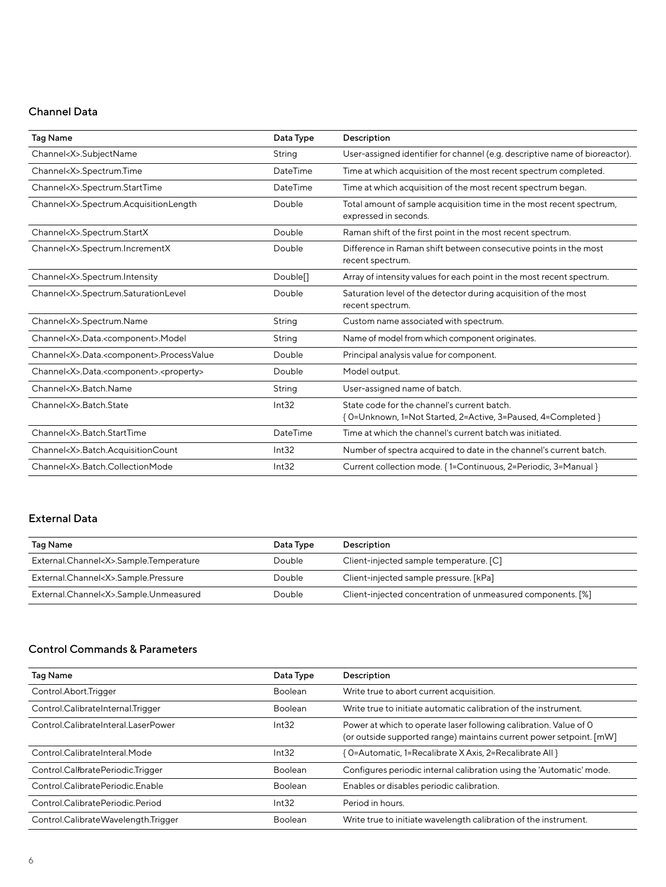# Channel Data

| <b>Tag Name</b>                                                    | Data Type            | Description                                                                                                  |
|--------------------------------------------------------------------|----------------------|--------------------------------------------------------------------------------------------------------------|
| Channel <x>.SubjectName</x>                                        | String               | User-assigned identifier for channel (e.g. descriptive name of bioreactor).                                  |
| Channel <x>.Spectrum.Time</x>                                      | DateTime             | Time at which acquisition of the most recent spectrum completed.                                             |
| Channel <x>.Spectrum.StartTime</x>                                 | DateTime             | Time at which acquisition of the most recent spectrum began.                                                 |
| Channel <x>.Spectrum.AcquisitionLength</x>                         | Double               | Total amount of sample acquisition time in the most recent spectrum,<br>expressed in seconds.                |
| Channel <x>.Spectrum.StartX</x>                                    | Double               | Raman shift of the first point in the most recent spectrum.                                                  |
| Channel <x>.Spectrum.IncrementX</x>                                | Double               | Difference in Raman shift between consecutive points in the most<br>recent spectrum.                         |
| Channel <x>.Spectrum.Intensity</x>                                 | Double <sup>[]</sup> | Array of intensity values for each point in the most recent spectrum.                                        |
| Channel <x>.Spectrum.SaturationLevel</x>                           | Double               | Saturation level of the detector during acquisition of the most<br>recent spectrum.                          |
| Channel <x>.Spectrum.Name</x>                                      | String               | Custom name associated with spectrum.                                                                        |
| Channel <x>.Data.<component>.Model</component></x>                 | String               | Name of model from which component originates.                                                               |
| Channel <x>.Data.<component>.ProcessValue</component></x>          | Double               | Principal analysis value for component.                                                                      |
| Channel <x>.Data.<component>.<property></property></component></x> | Double               | Model output.                                                                                                |
| Channel <x>.Batch.Name</x>                                         | String               | User-assigned name of batch.                                                                                 |
| Channel <x>.Batch.State</x>                                        | Int32                | State code for the channel's current batch.<br>{ O=Unknown, 1=Not Started, 2=Active, 3=Paused, 4=Completed } |
| Channel <x>.Batch.StartTime</x>                                    | DateTime             | Time at which the channel's current batch was initiated.                                                     |
| Channel <x>.Batch.AcquisitionCount</x>                             | Int32                | Number of spectra acquired to date in the channel's current batch.                                           |
| Channel <x>.Batch.CollectionMode</x>                               | Int32                | Current collection mode. {1=Continuous, 2=Periodic, 3=Manual }                                               |

# External Data

| Tag Name                                    | Data Type | <b>Description</b>                                          |
|---------------------------------------------|-----------|-------------------------------------------------------------|
| External.Channel <x>.Sample.Temperature</x> | Double    | Client-injected sample temperature. [C]                     |
| External.Channel <x>.Sample.Pressure</x>    | Double    | Client-injected sample pressure. [kPa]                      |
| External.Channel <x>.Sample.Unmeasured</x>  | Double    | Client-injected concentration of unmeasured components. [%] |

### Control Commands & Parameters

| Tag Name                            | Data Type | Description                                                                                                                              |
|-------------------------------------|-----------|------------------------------------------------------------------------------------------------------------------------------------------|
| Control.Abort.Trigger               | Boolean   | Write true to abort current acquisition.                                                                                                 |
| Control.CalibrateInternal.Trigger   | Boolean   | Write true to initiate automatic calibration of the instrument.                                                                          |
| Control.CalibrateInteral.LaserPower | Int32     | Power at which to operate laser following calibration. Value of O<br>(or outside supported range) maintains current power setpoint. [mW] |
| Control.CalibrateInteral.Mode       | Int32     | [ 0=Automatic, 1=Recalibrate X Axis, 2=Recalibrate All }                                                                                 |
| Control.CalibratePeriodic.Trigger   | Boolean   | Configures periodic internal calibration using the 'Automatic' mode.                                                                     |
| Control.CalibratePeriodic.Enable    | Boolean   | Enables or disables periodic calibration.                                                                                                |
| Control CalibratePeriodic Period    | Int32     | Period in hours.                                                                                                                         |
| Control.CalibrateWavelength.Trigger | Boolean   | Write true to initiate wavelength calibration of the instrument.                                                                         |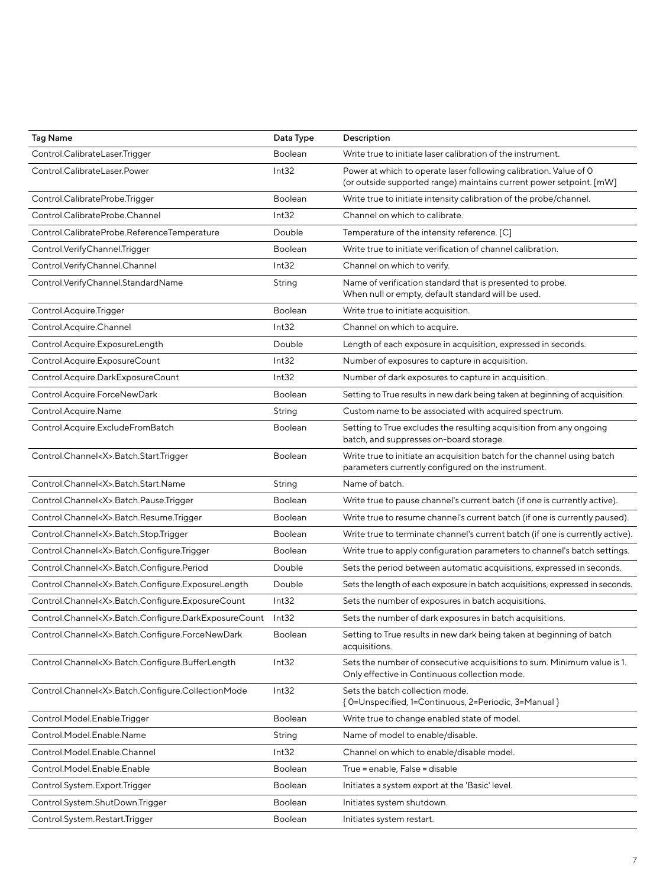| Tag Name                                                  | Data Type      | Description                                                                                                                              |
|-----------------------------------------------------------|----------------|------------------------------------------------------------------------------------------------------------------------------------------|
| Control.CalibrateLaser.Trigger                            | <b>Boolean</b> | Write true to initiate laser calibration of the instrument.                                                                              |
| Control.CalibrateLaser.Power                              | Int32          | Power at which to operate laser following calibration. Value of O<br>(or outside supported range) maintains current power setpoint. [mW] |
| Control.CalibrateProbe.Trigger                            | <b>Boolean</b> | Write true to initiate intensity calibration of the probe/channel.                                                                       |
| Control.CalibrateProbe.Channel                            | Int32          | Channel on which to calibrate.                                                                                                           |
| Control.CalibrateProbe.ReferenceTemperature               | Double         | Temperature of the intensity reference. [C]                                                                                              |
| Control.VerifyChannel.Trigger                             | <b>Boolean</b> | Write true to initiate verification of channel calibration.                                                                              |
| Control.VerifyChannel.Channel                             | Int32          | Channel on which to verify.                                                                                                              |
| Control.VerifyChannel.StandardName                        | String         | Name of verification standard that is presented to probe.<br>When null or empty, default standard will be used.                          |
| Control.Acquire.Trigger                                   | Boolean        | Write true to initiate acquisition.                                                                                                      |
| Control.Acquire.Channel                                   | Int32          | Channel on which to acquire.                                                                                                             |
| Control.Acquire.ExposureLength                            | Double         | Length of each exposure in acquisition, expressed in seconds.                                                                            |
| Control.Acquire.ExposureCount                             | Int32          | Number of exposures to capture in acquisition.                                                                                           |
| Control.Acquire.DarkExposureCount                         | Int32          | Number of dark exposures to capture in acquisition.                                                                                      |
| Control.Acquire.ForceNewDark                              | <b>Boolean</b> | Setting to True results in new dark being taken at beginning of acquisition.                                                             |
| Control.Acquire.Name                                      | String         | Custom name to be associated with acquired spectrum.                                                                                     |
| Control.Acquire.ExcludeFromBatch                          | Boolean        | Setting to True excludes the resulting acquisition from any ongoing<br>batch, and suppresses on-board storage.                           |
| Control.Channel <x>.Batch.Start.Trigger</x>               | <b>Boolean</b> | Write true to initiate an acquisition batch for the channel using batch<br>parameters currently configured on the instrument.            |
| Control.Channel <x>.Batch.Start.Name</x>                  | String         | Name of batch.                                                                                                                           |
| Control.Channel <x>.Batch.Pause.Trigger</x>               | <b>Boolean</b> | Write true to pause channel's current batch (if one is currently active).                                                                |
| Control.Channel <x>.Batch.Resume.Trigger</x>              | <b>Boolean</b> | Write true to resume channel's current batch (if one is currently paused).                                                               |
| Control.Channel <x>.Batch.Stop.Trigger</x>                | <b>Boolean</b> | Write true to terminate channel's current batch (if one is currently active).                                                            |
| Control.Channel <x>.Batch.Configure.Trigger</x>           | Boolean        | Write true to apply configuration parameters to channel's batch settings.                                                                |
| Control.Channel <x>.Batch.Configure.Period</x>            | Double         | Sets the period between automatic acquisitions, expressed in seconds.                                                                    |
| Control.Channel <x>.Batch.Configure.ExposureLength</x>    | Double         | Sets the length of each exposure in batch acquisitions, expressed in seconds.                                                            |
| Control.Channel <x>.Batch.Configure.ExposureCount</x>     | Int32          | Sets the number of exposures in batch acquisitions.                                                                                      |
| Control.Channel <x>.Batch.Configure.DarkExposureCount</x> | Int32          | Sets the number of dark exposures in batch acquisitions.                                                                                 |
| Control.Channel <x>.Batch.Configure.ForceNewDark</x>      | Boolean        | Setting to True results in new dark being taken at beginning of batch<br>acquisitions.                                                   |
| Control.Channel <x>.Batch.Configure.BufferLength</x>      | Int32          | Sets the number of consecutive acquisitions to sum. Minimum value is 1.<br>Only effective in Continuous collection mode.                 |
| Control.Channel <x>.Batch.Configure.CollectionMode</x>    | Int32          | Sets the batch collection mode.<br>{ O=Unspecified, 1=Continuous, 2=Periodic, 3=Manual }                                                 |
| Control.Model.Enable.Trigger                              | Boolean        | Write true to change enabled state of model.                                                                                             |
| Control.Model.Enable.Name                                 | String         | Name of model to enable/disable.                                                                                                         |
| Control.Model.Enable.Channel                              | Int32          | Channel on which to enable/disable model.                                                                                                |
| Control.Model.Enable.Enable                               | Boolean        | True = enable, False = disable                                                                                                           |
| Control.System.Export.Trigger                             | Boolean        | Initiates a system export at the 'Basic' level.                                                                                          |
| Control.System.ShutDown.Trigger                           | Boolean        | Initiates system shutdown.                                                                                                               |
| Control.System.Restart.Trigger                            | Boolean        | Initiates system restart.                                                                                                                |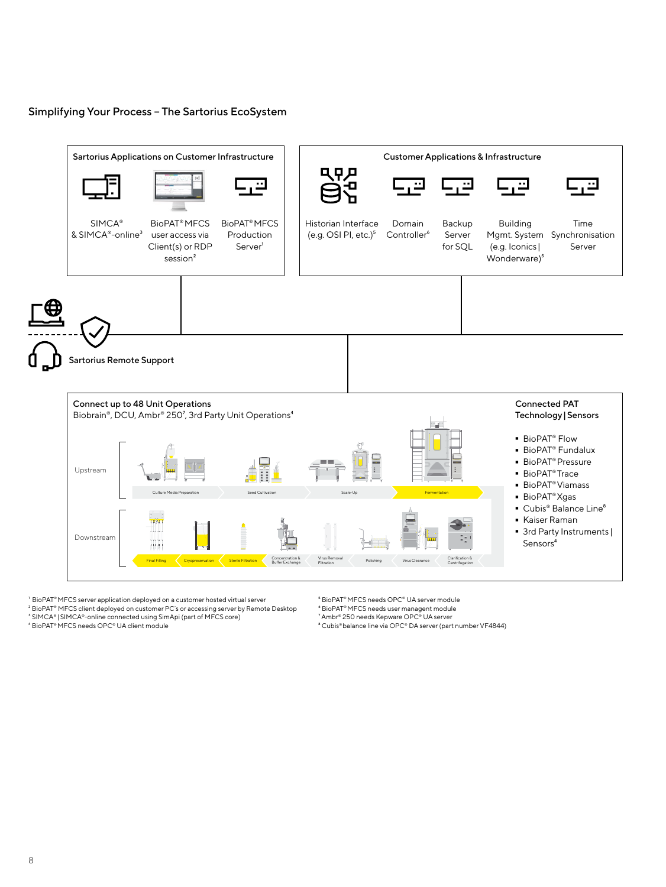#### Simplifying Your Process – The Sartorius EcoSystem



<sup>1</sup> BioPAT<sup>®</sup> MFCS server application deployed on a customer hosted virtual server ² BioPAT® MFCS client deployed on customer PC´s or accessing server by Remote Desktop ⁵ BioPAT® MFCS needs OPC® UA server module

⁶ BioPAT® MFCS needs user managent module

⁷ Ambr® 250 needs Kepware OPC® UA server ⁸ Cubis® balance line via OPC® DA server (part number VF4844)

³ SIMCA® |SIMCA®-online connected using SimApi (part of MFCS core) ⁴ BioPAT® MFCS needs OPC® UA client module

8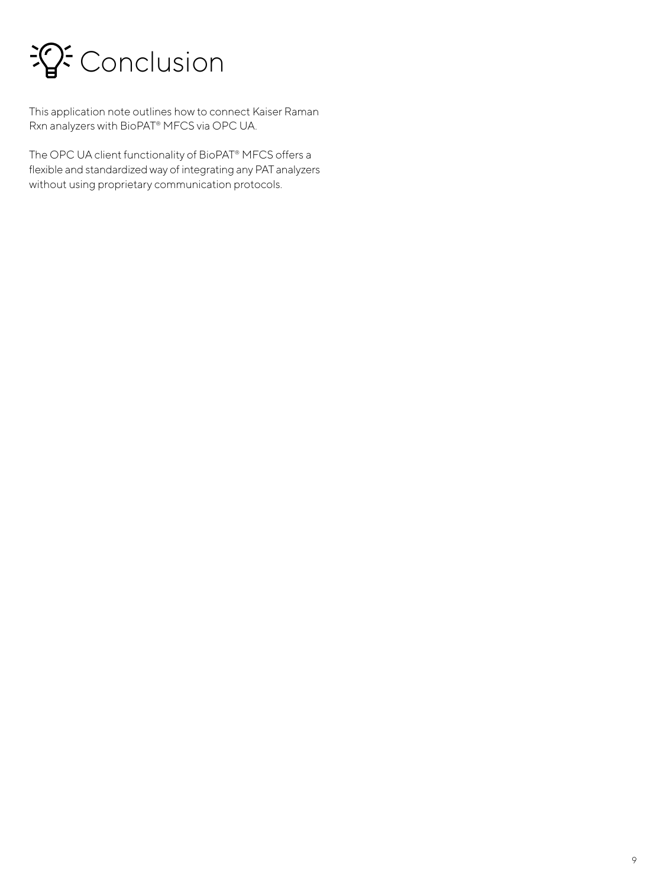

This application note outlines how to connect Kaiser Raman Rxn analyzers with BioPAT® MFCS via OPC UA.

The OPC UA client functionality of BioPAT® MFCS offers a flexible and standardized way of integrating any PAT analyzers without using proprietary communication protocols.